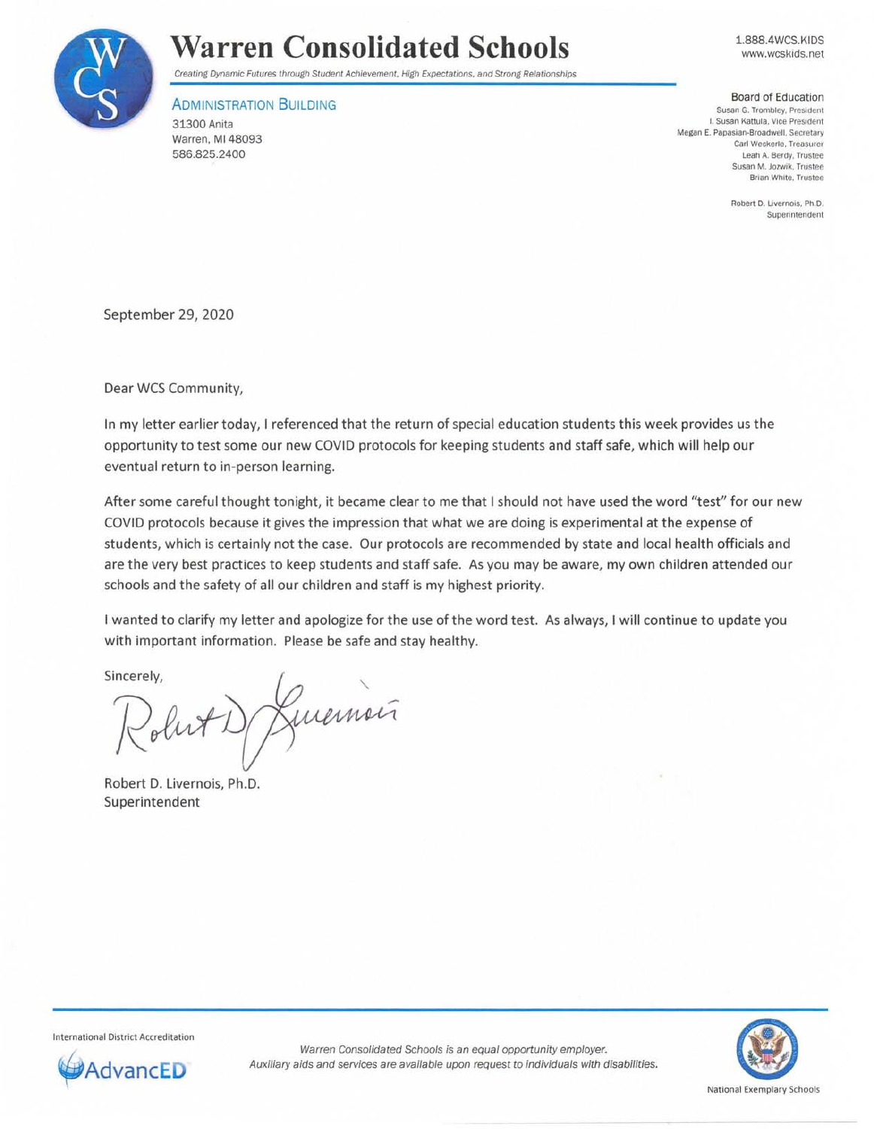

## **Warren Consolidated Schools**

Creating Dynamic Futures through Student Achievement, High Expectations. and Strong Relationships

## **ADMINISTRATION BUILDING**

31300 Anita Warren, Ml 48093 586.825.2400

1.888.4WCS.KIDS www.wcskids.net

## Board of Education **Susan G. Trombley. President**  I. Susan Kattula. Vice President Megan E. Papasian-Broadwell. Secretary **Carl Weckerle, Treasurer**  Leah A. Berdy. Trustee **Susan M. Jozwik, Trustee Brian White, Trustee**

**Robert D. Livernois, Ph.D.**  Superintendent

September 29, 2020

Dear WCS Community,

In my letter earlier today, I referenced that the return of special education students this week provides us the opportunity to test some our new COVID protocols for keeping students and staff safe, which will help our eventual return to in-person learning.

After some careful thought tonight, it became clear to me that I should not have used the word "test" for our new COVID protocols because it gives the impression that what we are doing is experimental at the expense of students, which is certainly not the case. Our protocols are recommended by state and local health officials and are the very best practices to keep students and staff safe. As you may be aware, my own children attended our schools and the safety of all our children and staff is my highest priority.

I wanted to clarify my letter and apologize for the use of the word test. As always, I will continue to update you with important information. Please be safe and stay healthy.

Sincerely,

De Livernois

Robert D. Livernois, Ph.D. Superintendent

International District Accreditation